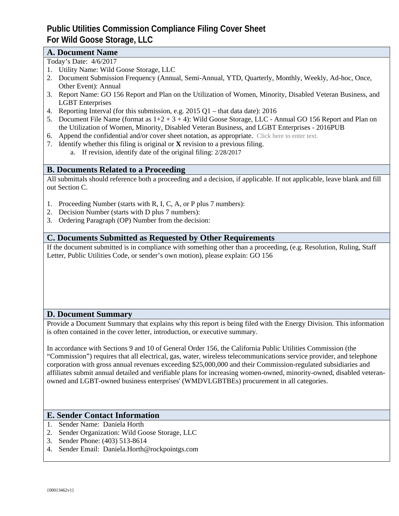# **Public Utilities Commission Compliance Filing Cover Sheet For Wild Goose Storage, LLC**

# **A. Document Name**

- Today's Date: 4/6/2017
- 1. Utility Name: Wild Goose Storage, LLC
- 2. Document Submission Frequency (Annual, Semi-Annual, YTD, Quarterly, Monthly, Weekly, Ad-hoc, Once, Other Event): Annual
- 3. Report Name: GO 156 Report and Plan on the Utilization of Women, Minority, Disabled Veteran Business, and LGBT Enterprises
- 4. Reporting Interval (for this submission, e.g. 2015 Q1 that data date): 2016
- 5. Document File Name (format as  $1+2+3+4$ ): Wild Goose Storage, LLC Annual GO 156 Report and Plan on the Utilization of Women, Minority, Disabled Veteran Business, and LGBT Enterprises - 2016PUB
- 6. Append the confidential and/or cover sheet notation, as appropriate. Click here to enter text.
- 7. Identify whether this filing is original or **X** revision to a previous filing.
	- a. If revision, identify date of the original filing: 2/28/2017

# **B. Documents Related to a Proceeding**

All submittals should reference both a proceeding and a decision, if applicable. If not applicable, leave blank and fill out Section C.

- 1. Proceeding Number (starts with R, I, C, A, or P plus 7 numbers):<br>
2. Decision Number (starts with D plus 7 numbers):<br>
3. Ordering Paragraph (OP) Number from the decision:
- 
- 

# **C. Documents Submitted as Requested by Other Requirements**

If the document submitted is in compliance with something other than a proceeding, (e.g. Resolution, Ruling, Staff Letter, Public Utilities Code, or sender's own motion), please explain: GO 156

# **D. Document Summary**

Provide a Document Summary that explains why this report is being filed with the Energy Division. This information is often contained in the cover letter, introduction, or executive summary.

In accordance with Sections 9 and 10 of General Order 156, the California Public Utilities Commission (the "Commission") requires that all electrical, gas, water, wireless telecommunications service provider, and telephone corporation with gross annual revenues exceeding \$25,000,000 and their Commission-regulated subsidiaries and affiliates submit annual detailed and verifiable plans for increasing women-owned, minority-owned, disabled veteran owned and LGBT-owned business enterprises' (WMDVLGBTBEs) procurement in all categories.

# **E. Sender Contact Information**

- 1. Sender Name: Daniela Horth
- 2. Sender Organization: Wild Goose Storage, LLC
- 3. Sender Phone: (403) 513-8614
- 4. Sender Email: Daniela.Horth@rockpointgs.com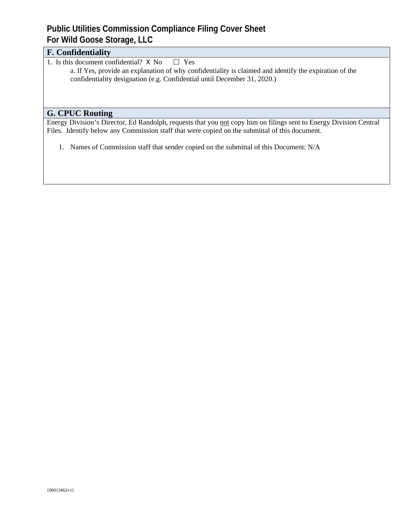# **Public Utilities Commission Compliance Filing Cover Sheet For Wild Goose Storage, LLC**

| <b>F. Confidentiality</b>                                                                                          |  |
|--------------------------------------------------------------------------------------------------------------------|--|
| . Is this document confidential? $X \text{ No } \square Y$ es                                                      |  |
| a. If Yes, provide an explanation of why confidentiality is claimed and identify the expiration of the             |  |
| confidentiality designation (e.g. Confidential until December 31, 2020.)                                           |  |
|                                                                                                                    |  |
|                                                                                                                    |  |
|                                                                                                                    |  |
| <b>G. CPUC Routing</b>                                                                                             |  |
| Energy Division's Director, Ed Randolph, requests that you not copy him on filings sent to Energy Division Central |  |
| Files. Identify below any Commission staff that were copied on the submittal of this document.                     |  |

1. Names of Commission staff that sender copied on the submittal of this Document: N/A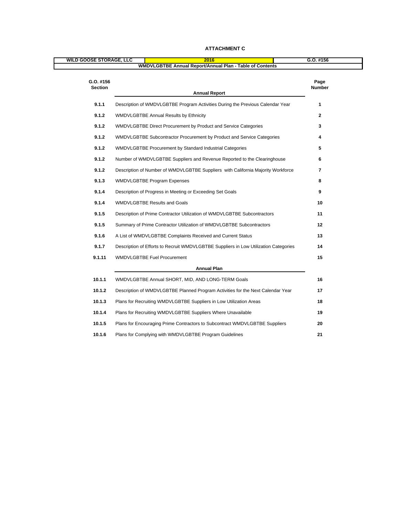| <b>WILD GOOSE STORAGE, LLC</b> | 2016<br>WMDVLGBTBE Annual Report/Annual Plan - Table of Contents                     | $G.0.$ #156     |
|--------------------------------|--------------------------------------------------------------------------------------|-----------------|
|                                |                                                                                      |                 |
| G.O. #156<br>Section           |                                                                                      | Page<br>Number  |
|                                | <b>Annual Report</b>                                                                 |                 |
| 9.1.1                          | Description of WMDVLGBTBE Program Activities During the Previous Calendar Year       |                 |
| 9.1.2                          | <b>WMDVLGBTBE Annual Results by Ethnicity</b>                                        |                 |
| 9.1.2                          | WMDVLGBTBE Direct Procurement by Product and Service Categories                      |                 |
| 9.1.2                          | WMDVLGBTBE Subcontractor Procurement by Product and Service Categories               |                 |
| 9.1.2                          | WMDVLGBTBE Procurement by Standard Industrial Categories                             |                 |
| 9.1.2                          | Number of WMDVLGBTBE Suppliers and Revenue Reported to the Clearinghouse             |                 |
| 9.1.2                          | Description of Number of WMDVLGBTBE Suppliers with California Majority Workforce     |                 |
| 9.1.3                          | WMDVLGBTBE Program Expenses                                                          |                 |
| 9.1.4                          | Description of Progress in Meeting or Exceeding Set Goals                            |                 |
| 9.1.4                          | <b>WMDVLGBTBE Results and Goals</b>                                                  |                 |
| 9.1.5                          | Description of Prime Contractor Utilization of WMDVLGBTBE Subcontractors             | 11              |
| 9.1.5                          | Summary of Prime Contractor Utilization of WMDVLGBTBE Subcontractors                 | 12              |
| 9.1.6                          | A List of WMDVLGBTBE Complaints Received and Current Status                          | 13              |
| 9.1.7                          | Description of Efforts to Recruit WMDVLGBTBE Suppliers in Low Utilization Categories | 14              |
| 9.1.11                         | <b>WMDVLGBTBE Fuel Procurement</b>                                                   | 15              |
|                                | <b>Annual Plan</b>                                                                   |                 |
| 10.1.1                         | WMDVLGBTBE Annual SHORT, MID, AND LONG-TERM Goals                                    | 16              |
| 10.1.2                         | Description of WMDVLGBTBE Planned Program Activities for the Next Calendar Year      | 17 <sup>2</sup> |
| 10.1.3                         | Plans for Recruiting WMDVLGBTBE Suppliers in Low Utilization Areas                   | 18              |
|                                | 10.1.4 Plans for Recruiting WMDVLGBTBE Suppliers Where Unavailable                   | 19              |
| 10.1.5                         | Plans for Encouraging Prime Contractors to Subcontract WMDVLGBTBE Suppliers          | 20              |
| 10.1.6                         | Plans for Complying with WMDVLGBTBE Program Guidelines                               | 21              |
|                                |                                                                                      |                 |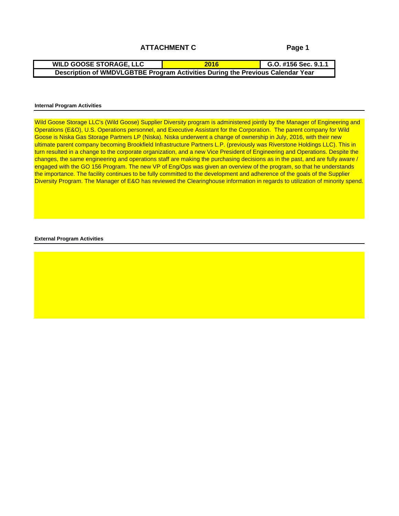### **ATTACHMENT C**

**Page 1**

**G.O. #156 Sec. 9.1.1 WILD GOOSE STORAGE, LLC Description of WMDVLGBTBE Program Activities During the Previous Calendar Year 2016**

#### **Internal Program Activities**

Wild Goose Storage LLC's (Wild Goose) Supplier Diversity program is administered jointly by the Manager of Engineering and Operations (E&O), U.S. Operations personnel, and Executive Assistant for the Corporation. The parent company for Wild Goose is Niska Gas Storage Partners LP (Niska). Niska underwent a change of ownership in July, 2016, with their new ultimate parent company becoming Brookfield Infrastructure Partners L.P. (previously was Riverstone Holdings LLC). This in turn resulted in a change to the corporate organization, and a new Vice President of Engineering and Operations. Despite the changes, the same engineering and operations staff are making the purchasing decisions as in the past, and are fully aware / engaged with the GO 156 Program. The new VP of Eng/Ops was given an overview of the program, so that he understands the importance. The facility continues to be fully committed to the development and adherence of the goals of the Supplier Diversity Program. The Manager of E&O has reviewed the Clearinghouse information in regards to utilization of minority spend.

#### **External Program Activities**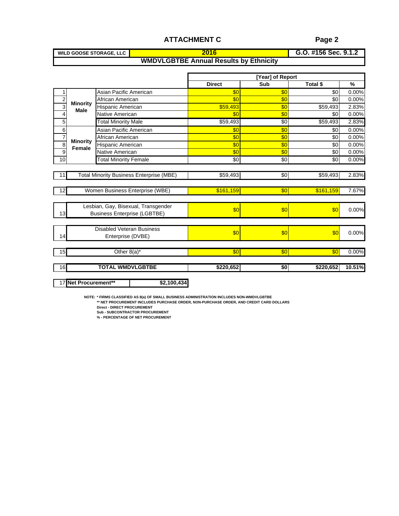| <b>WILD GOOSE STORAGE,</b> |                                                                           | ¬ #1БС .<br><b>0.0. #100 060. 9.1.2</b> |
|----------------------------|---------------------------------------------------------------------------|-----------------------------------------|
|                            | <b>WMDVLCPTPE</b><br>l Results bv Ethnicitv<br>. Annual Results '<br>DIDI |                                         |

|                                |                                                                                                                                                                                      | <b>ATTACHMENT C</b>                           |                         | Page 2                             |                                          |  |
|--------------------------------|--------------------------------------------------------------------------------------------------------------------------------------------------------------------------------------|-----------------------------------------------|-------------------------|------------------------------------|------------------------------------------|--|
| <b>WILD GOOSE STORAGE, LLC</b> |                                                                                                                                                                                      | - 20                                          |                         | G.O. #156 Sec. 9.1.2               |                                          |  |
|                                |                                                                                                                                                                                      | <b>WMDVLGBTBE Annual Results by Ethnicity</b> |                         |                                    |                                          |  |
|                                |                                                                                                                                                                                      |                                               |                         |                                    |                                          |  |
|                                |                                                                                                                                                                                      |                                               | [Year] of Report<br>Sub |                                    |                                          |  |
|                                |                                                                                                                                                                                      | <b>Direct</b>                                 |                         | Total \$                           | $\%$                                     |  |
|                                | Asian Pacific American<br>African American                                                                                                                                           |                                               |                         |                                    | በ በበ%<br>. በ በበ%                         |  |
| <u>귺</u> Minority              | Hispanic American                                                                                                                                                                    | \$59,493                                      |                         |                                    | \$59,493 2.83%                           |  |
| <b>Male</b>                    | Native American                                                                                                                                                                      |                                               |                         |                                    | 0.00%                                    |  |
|                                | <b>Total Minority Male</b>                                                                                                                                                           | \$59,493                                      |                         |                                    | \$59,493 2.83%                           |  |
|                                | Asian Pacific American                                                                                                                                                               |                                               |                         |                                    | 0.00%                                    |  |
| Minority                       | African American                                                                                                                                                                     |                                               |                         |                                    | $0.00\%$                                 |  |
| Female                         | Hispanic American                                                                                                                                                                    | − ന                                           |                         |                                    | $0.00\%$<br>-SOL<br>$\frac{1}{60}$ 0.00% |  |
|                                | Native American<br><b>Total Minority Female</b>                                                                                                                                      | - 901                                         | - ፍጠ                    |                                    | $$0 0.00\%$                              |  |
|                                |                                                                                                                                                                                      |                                               |                         |                                    |                                          |  |
|                                | Total Minority Business Enterprise (MBE)                                                                                                                                             | \$59.493                                      |                         |                                    | \$59,493 2.83%                           |  |
|                                |                                                                                                                                                                                      |                                               |                         |                                    |                                          |  |
|                                | Women Business Enterprise (WBE)                                                                                                                                                      | \$161.159                                     |                         | <u>\$161,159</u> 7.67%<br>– \$0L ⊺ |                                          |  |
|                                |                                                                                                                                                                                      |                                               |                         |                                    |                                          |  |
|                                | Lesbian, Gay, Bisexual, Transgender                                                                                                                                                  |                                               |                         |                                    | 0.00%                                    |  |
|                                | <b>Business Enterprise (LGBTBE)</b>                                                                                                                                                  |                                               |                         |                                    |                                          |  |
|                                |                                                                                                                                                                                      |                                               |                         |                                    |                                          |  |
|                                | Disabled Veteran Business<br>Enterprise (DVBE)                                                                                                                                       |                                               |                         |                                    | 0.00%                                    |  |
|                                |                                                                                                                                                                                      |                                               |                         |                                    |                                          |  |
|                                | Other $8(a)^*$                                                                                                                                                                       | - 501                                         |                         |                                    | 0.00%                                    |  |
|                                |                                                                                                                                                                                      |                                               |                         |                                    |                                          |  |
|                                | <b>TOTAL WMDVLGBTBE</b>                                                                                                                                                              | \$220,652                                     |                         |                                    | \$220,652 10.51%                         |  |
|                                |                                                                                                                                                                                      |                                               |                         |                                    |                                          |  |
| 17 Net Procurement**           | \$2,100,434                                                                                                                                                                          |                                               |                         |                                    |                                          |  |
|                                |                                                                                                                                                                                      |                                               |                         |                                    |                                          |  |
|                                | NOTE: * FIRMS CLASSIFIED AS 8(a) OF SMALL BUSINESS ADMINISTRATION INCLUDES NON-WMDVLGBTBE<br>** NET PROCUREMENT INCLUDES PURCHASE ORDER, NON-PURCHASE ORDER, AND CREDIT CARD DOLLARS |                                               |                         |                                    |                                          |  |
|                                | <b>Direct - DIRECT PROCUREMENT</b><br><b>Sub - SUBCONTRACTOR PROCUREMENT</b>                                                                                                         |                                               |                         |                                    |                                          |  |
|                                | % - PERCENTAGE OF NET PROCUREMENT                                                                                                                                                    |                                               |                         |                                    |                                          |  |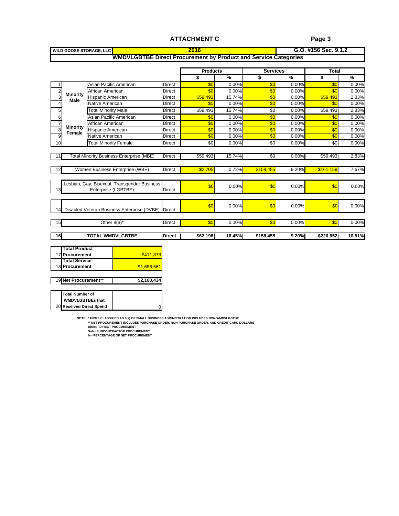#### **ATTACHMENT C**

#### **Page 3**

|       | <b>WILD GOOSE STORAGE, LLC</b> |                                                                                           |                |                 |                                                                        |                 |          | G.O. #156 Sec. 9.1.2                                      |
|-------|--------------------------------|-------------------------------------------------------------------------------------------|----------------|-----------------|------------------------------------------------------------------------|-----------------|----------|-----------------------------------------------------------|
|       |                                |                                                                                           |                |                 | <b>WMDVLGBTBE Direct Procurement by Product and Service Categories</b> |                 |          |                                                           |
|       |                                |                                                                                           |                |                 |                                                                        |                 |          |                                                           |
|       |                                |                                                                                           |                | <b>Products</b> |                                                                        | <b>Services</b> |          | Total                                                     |
|       |                                |                                                                                           |                |                 | $\sim$ $\sim$ $\sim$ $\sim$                                            |                 | $\%$     | $\sim$ $\%$                                               |
|       |                                |                                                                                           |                |                 |                                                                        |                 |          |                                                           |
|       |                                | Asian Pacific American                                                                    | Direct         |                 | - 00                                                                   |                 |          |                                                           |
|       | $\frac{2}{3}$ Minority         | African American                                                                          |                |                 |                                                                        |                 |          |                                                           |
|       | $\frac{3}{4}$ Male             | Hispanic American                                                                         | <b>IDirect</b> |                 | $\frac{$59,493}{15.74\%}$                                              |                 | __ 0.00° | \$59,493<br>2.83%<br>_______                              |
|       |                                | Native American                                                                           | Direct         | -80-            | $0.00\%$                                                               |                 | - 0.00%  | $0.00\%$                                                  |
| _____ |                                | <b>Total Minority Male</b>                                                                | Direct         |                 | \$59.493 15.74%                                                        |                 | - 0.00%  | \$59 493                                                  |
|       |                                | Asian Pacific American                                                                    | <b>IDirect</b> |                 | 0.00%                                                                  |                 |          | - 0.009                                                   |
|       | $\frac{1}{2}$ Minority         | African American                                                                          | Direct         |                 | 0.00%                                                                  |                 | - 00     | - 0.00%                                                   |
|       | $\frac{8}{2}$ Female           | Hispanic American                                                                         | Direct         |                 | _0.00%                                                                 |                 | _ റ റ    | በ በበ%                                                     |
|       |                                | Native American                                                                           | <b>IDirect</b> | S∩ ⊑            | $0.00\%$                                                               |                 | 0.00%    | 6.00% <mark>0.00%</mark>                                  |
|       |                                | <b>Total Minority Female</b>                                                              | Direct         | -801 -          | - 0.00%                                                                |                 | . വ ഗ    | - 0.00                                                    |
|       |                                |                                                                                           |                |                 |                                                                        |                 |          |                                                           |
|       |                                | 1 Total Minority Business Enterprise (MBE)   Direct                                       |                |                 | \$59.493 15.74%                                                        |                 |          | $0.00\%$ \$59,493 2.83%                                   |
|       |                                |                                                                                           |                |                 |                                                                        |                 |          |                                                           |
|       |                                |                                                                                           |                |                 |                                                                        |                 |          |                                                           |
|       |                                |                                                                                           |                |                 |                                                                        |                 |          |                                                           |
|       |                                | Lesbian, Gay, Bisexual, Transgender Business                                              |                |                 |                                                                        |                 |          |                                                           |
|       |                                | Enterprise (LGBTBE)                                                                       |                |                 |                                                                        |                 |          | 0.00                                                      |
|       |                                |                                                                                           |                |                 |                                                                        |                 |          |                                                           |
|       |                                |                                                                                           |                |                 |                                                                        |                 |          |                                                           |
|       |                                |                                                                                           |                |                 | 0.00%                                                                  |                 | 0.00%    | 0.00%                                                     |
|       |                                | <b>I</b> Disabled Veteran Business Enterprise (DVBE)                                      |                |                 |                                                                        |                 |          |                                                           |
|       |                                |                                                                                           |                |                 |                                                                        |                 |          |                                                           |
|       |                                | Other $8(a)^*$                                                                            | Direct         |                 | $\frac{100}{20}$ 0.00%                                                 |                 | $0.00\%$ | $\frac{1}{20}$ 0.00%                                      |
|       |                                |                                                                                           |                |                 |                                                                        |                 |          |                                                           |
|       |                                | <b>TOTAL WMDVLGBTBE</b>                                                                   |                |                 |                                                                        |                 |          | Direct   \$62,198 16.45% \$158,455 9.20% \$220,652 10.51% |
|       |                                |                                                                                           |                |                 |                                                                        |                 |          |                                                           |
|       | <b>Total Product</b>           |                                                                                           |                |                 |                                                                        |                 |          |                                                           |
|       | 7 Procurement                  |                                                                                           | \$411.87       |                 |                                                                        |                 |          |                                                           |
|       | <b>Total Service</b>           |                                                                                           |                |                 |                                                                        |                 |          |                                                           |
|       | 8 Procurement                  | \$1,688.56                                                                                |                |                 |                                                                        |                 |          |                                                           |
|       |                                |                                                                                           |                |                 |                                                                        |                 |          |                                                           |
|       | 19 Net Procurement**           |                                                                                           | \$2,100,434    |                 |                                                                        |                 |          |                                                           |
|       |                                |                                                                                           |                |                 |                                                                        |                 |          |                                                           |
|       | <b>Total Number of</b>         |                                                                                           |                |                 |                                                                        |                 |          |                                                           |
|       | <b>WMDVLGBTBEs that</b>        |                                                                                           |                |                 |                                                                        |                 |          |                                                           |
|       | 20 Received Direct Spend       |                                                                                           |                |                 |                                                                        |                 |          |                                                           |
|       |                                |                                                                                           |                |                 |                                                                        |                 |          |                                                           |
|       |                                | NOTE: * FIRMS CLASSIFIED AS 8(a) OF SMALL BUSINESS ADMINISTRATION INCLUDES NON-WMDVLGBTBE |                |                 |                                                                        |                 |          |                                                           |
|       |                                | ** NET PROCUREMENT INCLUDES PURCHASE ORDER, NON-PURCHASE ORDER, AND CREDIT CARD DOLLARS   |                |                 |                                                                        |                 |          |                                                           |
|       |                                | <b>Direct - DIRECT PROCUREMENT</b><br>Sub - SUBCONTRACTOR PROCUREMENT                     |                |                 |                                                                        |                 |          |                                                           |
|       |                                | % - PERCENTAGE OF NET PROCUREMENT                                                         |                |                 |                                                                        |                 |          |                                                           |

| 17 Procurement           |                                     |             |
|--------------------------|-------------------------------------|-------------|
|                          | Total Service                       |             |
| 18 Procurement           |                                     | \$1,688,56  |
| $\sim$ $\sim$            |                                     |             |
|                          | 19 Net Procurement**                | \$2,100,434 |
|                          |                                     |             |
| $\overline{\phantom{a}}$ | Total Number of<br>WMDVLGBTBEs that |             |
|                          |                                     |             |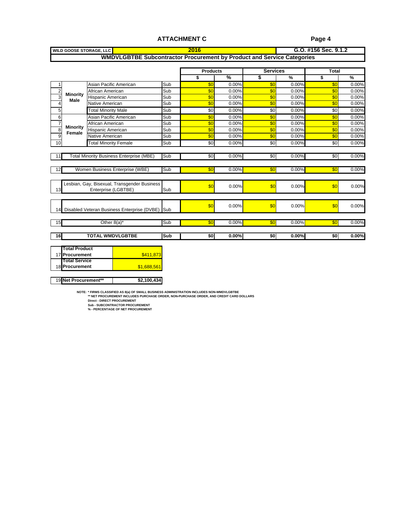#### **ATTACHMENT C**

#### **Page 4**

| <b>WILD GOOSE STORAGE, LL</b> |                                                                        |          |                      |                                                                     | $G.0.$ #156 Sec. 9.1.2 |  |
|-------------------------------|------------------------------------------------------------------------|----------|----------------------|---------------------------------------------------------------------|------------------------|--|
|                               | WMDVLGBTBE Subcontractor Procurement by Product and Service Categories |          |                      |                                                                     |                        |  |
|                               |                                                                        |          |                      |                                                                     |                        |  |
|                               |                                                                        |          | Product <sup>.</sup> |                                                                     |                        |  |
|                               |                                                                        |          | ___                  | $\overline{\phantom{a}}$ . The contract of $\overline{\phantom{a}}$ |                        |  |
|                               | Asian Pacific America                                                  | – ISUD – |                      |                                                                     |                        |  |
| ____                          |                                                                        |          |                      |                                                                     |                        |  |

|                                       | African American                                   | Sub<br>___ |            |                         |               |                      |
|---------------------------------------|----------------------------------------------------|------------|------------|-------------------------|---------------|----------------------|
| $\frac{1}{2}$ Minority<br><b>Male</b> | Hispanic American                                  | ISUN       |            |                         |               |                      |
|                                       | Native American                                    | l Sub      |            | $0.00\%$                |               | <u>_ በ በበ</u> ማ      |
|                                       | <b>Total Minority Male</b>                         | Sub I      | <b>SOL</b> | 0.00%                   |               |                      |
|                                       | Asian Pacific American                             | lSub –     |            |                         |               |                      |
|                                       | African American                                   | ISUD.      |            |                         |               |                      |
| $\frac{1}{\mathbf{Q}}$ Minority       |                                                    |            |            |                         | $\sim$ $\sim$ | $\cap$ $\cap$ $\cap$ |
| $\frac{8}{6}$ Female $\frac{1}{6}$    | Hispanic American                                  | l Sub      |            |                         |               |                      |
|                                       | Native American                                    | l Sub      |            | 0.00%                   |               | በ በበ%                |
|                                       | <b>Total Minority Female</b>                       | l Sub      |            | 0.00%I                  | $0.00\%$      |                      |
|                                       |                                                    |            |            |                         |               |                      |
|                                       | 11 Total Minority Business Enterprise (MBE) Sub    |            | -801       | 0.00%                   | $0.00\%$      | \$0 0.00%            |
|                                       |                                                    |            |            |                         |               |                      |
|                                       | Women Business Enterprise (WBE)                    | Sub        |            | $0.00\%$                | $0.00\%$      | 60 0.00%             |
|                                       |                                                    |            |            |                         |               |                      |
|                                       |                                                    |            |            |                         |               |                      |
|                                       | Lesbian, Gay, Bisexual, Transgender Business       |            |            |                         |               |                      |
|                                       | Fnternrise (L                                      | I Sub      |            |                         |               |                      |
|                                       |                                                    |            |            |                         |               |                      |
|                                       |                                                    |            |            |                         |               |                      |
|                                       | 14 Disabled Veteran Business Enterprise (DVBE) Sub |            |            | $0.00\%$                | $0.00\%$      |                      |
|                                       |                                                    |            |            |                         |               |                      |
|                                       |                                                    |            |            |                         |               |                      |
|                                       | Other $8(a)^*$                                     | l Sub      | - 350 -    | $0.00\%$ $\blacksquare$ | $0.00\%$      | $\sim$ 50 0.00%      |
|                                       |                                                    |            |            |                         |               |                      |
|                                       | <b>TOTAL WMDVLGBTBE</b>                            |            |            |                         |               |                      |
|                                       |                                                    | Sub        | 30 L       |                         | $0.00\%$      | \$0 0.00%            |

| <b>Total Product</b> |             |
|----------------------|-------------|
| 17 Procurement       | \$411,87    |
| <b>Total Service</b> |             |
| 18 Procurement       | \$1,688,56  |
|                      |             |
| 19 Net Procurement** | \$2,100,434 |

NOTE: \* FIRMS CLASSIFIED AS 8(a) OF SMALL BUSINESS ADMINISTRATION INCLUDES NON-WMDVLGBTBE<br>\*\* NET PROCUREMENT INCLUDES PURCHASE ORDER, NON-PURCHASE ORDER, AND CREDIT CARD DOLLARS<br>Direct - DIRECT PROCUREMENT<br>Sub - SUBCONTRA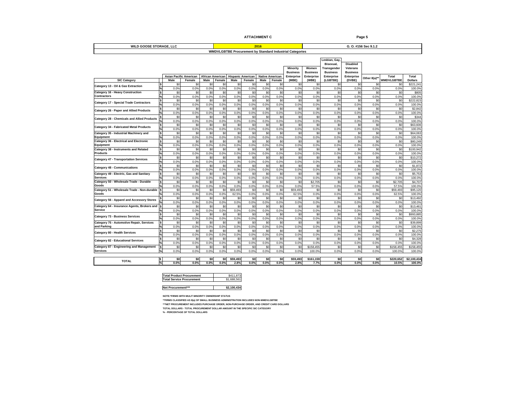| <b>ATTACHMENT C</b> |  |  |  |  |  |  |
|---------------------|--|--|--|--|--|--|
|---------------------|--|--|--|--|--|--|

|                                                           |                                                                      | <b>ATTACHMENT C</b>                                                                                                                                                                                                            | Page 5                                                                                                                                                                                                 |
|-----------------------------------------------------------|----------------------------------------------------------------------|--------------------------------------------------------------------------------------------------------------------------------------------------------------------------------------------------------------------------------|--------------------------------------------------------------------------------------------------------------------------------------------------------------------------------------------------------|
| <b>WILD GOOSE STORAGE, LLC</b>                            |                                                                      | 2016                                                                                                                                                                                                                           | G. O. #156 Sec 9.1.2                                                                                                                                                                                   |
|                                                           |                                                                      | <b>WMDVLGBTBE Procurement by Standard Industrial Categories</b>                                                                                                                                                                |                                                                                                                                                                                                        |
|                                                           |                                                                      |                                                                                                                                                                                                                                |                                                                                                                                                                                                        |
|                                                           |                                                                      |                                                                                                                                                                                                                                | Lesbian, Ga                                                                                                                                                                                            |
|                                                           |                                                                      |                                                                                                                                                                                                                                | Bisexual,<br><b>Disabled</b>                                                                                                                                                                           |
|                                                           |                                                                      | Minority Women                                                                                                                                                                                                                 | Transgender Veterans<br>Business Business Business Business                                                                                                                                            |
|                                                           |                                                                      |                                                                                                                                                                                                                                | <b>Total</b><br>Total                                                                                                                                                                                  |
| <b>SIC Category</b>                                       |                                                                      | Asian Pacific American African American Hispanic American Native American Enterprise Enterprise Enterprise Fenterprise Male Female Male Female Male Female Male Female Male Female Male Female Male Female Male Female Male Fe | Other 8(a)**<br>WMDVLGBTBE Dollars                                                                                                                                                                     |
| Category 13 - Oil & Gas Extraction                        |                                                                      |                                                                                                                                                                                                                                |                                                                                                                                                                                                        |
|                                                           |                                                                      |                                                                                                                                                                                                                                |                                                                                                                                                                                                        |
| Category 16 - Heavy Construction<br>Contractors           |                                                                      |                                                                                                                                                                                                                                |                                                                                                                                                                                                        |
|                                                           |                                                                      |                                                                                                                                                                                                                                |                                                                                                                                                                                                        |
| Category 17 - Special Trade Contractors                   |                                                                      |                                                                                                                                                                                                                                |                                                                                                                                                                                                        |
| Category 26 - Paper and Allied Products                   |                                                                      |                                                                                                                                                                                                                                |                                                                                                                                                                                                        |
|                                                           |                                                                      |                                                                                                                                                                                                                                |                                                                                                                                                                                                        |
| Category 28 - Chemicals and Allied Products               |                                                                      |                                                                                                                                                                                                                                |                                                                                                                                                                                                        |
|                                                           |                                                                      |                                                                                                                                                                                                                                |                                                                                                                                                                                                        |
| <b>Category 34 - Fabricated Metal Products</b>            |                                                                      | $1.0\%$ $0.0\%$ $0.0\%$                                                                                                                                                                                                        |                                                                                                                                                                                                        |
| Category 35 - Industrial Machinery and                    |                                                                      |                                                                                                                                                                                                                                |                                                                                                                                                                                                        |
| Equipment                                                 |                                                                      |                                                                                                                                                                                                                                |                                                                                                                                                                                                        |
| Category 36 - Electrical and Electronic<br>Equipment      |                                                                      | $0.0\%$                                                                                                                                                                                                                        |                                                                                                                                                                                                        |
| Category 38 - Instruments and Related<br>Products         |                                                                      |                                                                                                                                                                                                                                |                                                                                                                                                                                                        |
|                                                           |                                                                      |                                                                                                                                                                                                                                |                                                                                                                                                                                                        |
| <b>Category 47 - Transportation Services</b>              |                                                                      |                                                                                                                                                                                                                                |                                                                                                                                                                                                        |
|                                                           |                                                                      |                                                                                                                                                                                                                                |                                                                                                                                                                                                        |
| <b>Category 48 - Communications</b>                       |                                                                      | $0.0\%$ $0.0\%$<br><u>U.U%</u>                                                                                                                                                                                                 |                                                                                                                                                                                                        |
| Category 49 - Electric, Gas and Sanitary<br>Services      |                                                                      |                                                                                                                                                                                                                                |                                                                                                                                                                                                        |
|                                                           |                                                                      |                                                                                                                                                                                                                                |                                                                                                                                                                                                        |
| Category 50 - Wholesale Trade - Durable                   |                                                                      | $\frac{1}{30}$ $\frac{50}{1}$ $\frac{50}{1}$ $\frac{50}{1}$ $\frac{50}{1}$ $\frac{50}{1}$ $\frac{50}{1}$ $\frac{50}{1}$ $\frac{52,705}{1}$                                                                                     | \$2,705 \$4,707                                                                                                                                                                                        |
| Category 51 - Wholesale Trade - Non-durable               |                                                                      | $0.0\%$                                                                                                                                                                                                                        | 57.5%<br>\$59,493                                                                                                                                                                                      |
| Good                                                      |                                                                      |                                                                                                                                                                                                                                |                                                                                                                                                                                                        |
| Category 56 - Apparel and Accessory Stores                |                                                                      |                                                                                                                                                                                                                                |                                                                                                                                                                                                        |
|                                                           |                                                                      |                                                                                                                                                                                                                                |                                                                                                                                                                                                        |
| Category 64 - Insurance Agents, Brokers and \$<br>Service |                                                                      |                                                                                                                                                                                                                                |                                                                                                                                                                                                        |
|                                                           |                                                                      |                                                                                                                                                                                                                                |                                                                                                                                                                                                        |
| Category 73 - Business Services                           |                                                                      | $0.0\%$ $0.0\%$ $0.0\%$<br>$0.0\%$                                                                                                                                                                                             |                                                                                                                                                                                                        |
| Category 75 - Automotive Repair, Services                 |                                                                      |                                                                                                                                                                                                                                |                                                                                                                                                                                                        |
| and Parking                                               |                                                                      |                                                                                                                                                                                                                                |                                                                                                                                                                                                        |
| Category 80 - Health Services                             |                                                                      |                                                                                                                                                                                                                                |                                                                                                                                                                                                        |
|                                                           |                                                                      |                                                                                                                                                                                                                                |                                                                                                                                                                                                        |
| <b>Category 82 - Educational Services</b>                 |                                                                      | $U\%$                                                                                                                                                                                                                          |                                                                                                                                                                                                        |
| <b>Category 87 - Engineering and Management</b>           |                                                                      |                                                                                                                                                                                                                                |                                                                                                                                                                                                        |
| Services                                                  |                                                                      |                                                                                                                                                                                                                                |                                                                                                                                                                                                        |
|                                                           |                                                                      |                                                                                                                                                                                                                                |                                                                                                                                                                                                        |
| <b>TOTAL</b>                                              |                                                                      |                                                                                                                                                                                                                                | $\begin{array}{c c c c c c c c c} \hline \$0 & \text{\quad $$0$} & \text{\quad $\$220,652$} & \text{\$2,100,434$} \ \text{0.0\%} & \text{0.0\%} & \text{10.5\%} & \text{100.0\%} \ \hline \end{array}$ |
|                                                           |                                                                      |                                                                                                                                                                                                                                |                                                                                                                                                                                                        |
|                                                           |                                                                      |                                                                                                                                                                                                                                |                                                                                                                                                                                                        |
|                                                           | <b>Total Product Procurement</b><br><b>Total Service Procurement</b> | \$411,<br>\$1,688,561                                                                                                                                                                                                          |                                                                                                                                                                                                        |
|                                                           |                                                                      |                                                                                                                                                                                                                                |                                                                                                                                                                                                        |
|                                                           | Net Procurement***                                                   | \$2,100,434                                                                                                                                                                                                                    |                                                                                                                                                                                                        |
|                                                           |                                                                      |                                                                                                                                                                                                                                |                                                                                                                                                                                                        |
|                                                           | NOTE:*FIRMS WITH MULIT MINORITY OWNERSHIP STATUS                     |                                                                                                                                                                                                                                |                                                                                                                                                                                                        |
|                                                           |                                                                      | ** FIRMS CLASSIFIED AS 8(a) OF SMALL BUSINESS ADMINISTRATION INCLUDES NON-WMDVLGBTBE<br>***NET PROCUREMENT INCLUDES PURCHASE ORDER, NON-PURCHASE ORDER, AND CREDIT CARD DOLLARS                                                |                                                                                                                                                                                                        |
|                                                           |                                                                      | TOTAL DOLLARS - TOTAL PROCUREMENT DOLLAR AMOUNT IN THE SPECIFIC SIC CATEGORY                                                                                                                                                   |                                                                                                                                                                                                        |
|                                                           | % - PERCENTAGE OF TOTAL DOLLARS                                      |                                                                                                                                                                                                                                |                                                                                                                                                                                                        |

|                                                        | \$411.873   |
|--------------------------------------------------------|-------------|
| Total Product Procurement<br>Total Service Procurement | \$1,688,561 |
| Net Procurement***                                     | \$2,100,434 |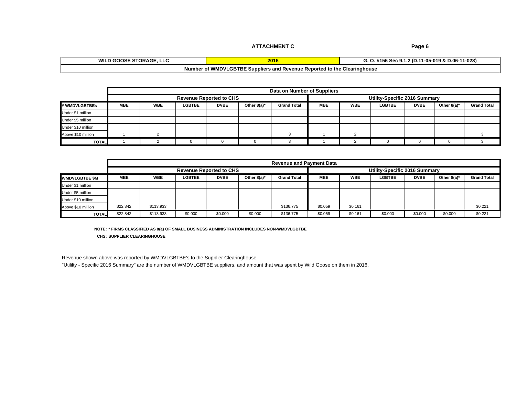| G. O. #156 Sec 9.1.2 (D.11-05-019 & D.06-11-028)                         |
|--------------------------------------------------------------------------|
|                                                                          |
| Jumber of WMDVLGBTBE Suppliers and Revenue Reported to the Clearinghouse |

|                    |  |                                |       | Data on Number of Suppliers |  |                               |   |                        |
|--------------------|--|--------------------------------|-------|-----------------------------|--|-------------------------------|---|------------------------|
|                    |  | <b>Revenue Reported to CHS</b> |       |                             |  | Utility-Specific 2016 Summary |   |                        |
| # WMDVLGBTBEs      |  |                                | Othe. | Grand                       |  | <b>CRTRE</b><br>ᄖ             | െ | ther 8(a)* Grand Total |
| Under \$1 million  |  |                                |       |                             |  |                               |   |                        |
| Under \$5 million  |  |                                |       |                             |  |                               |   |                        |
| Under \$10 million |  |                                |       |                             |  |                               |   |                        |
| Above \$10 million |  |                                |       |                             |  |                               |   |                        |
| TOTAL L            |  |                                |       |                             |  |                               |   |                        |

|                           |            |     |                                |         |            | Revenue and Payment Data |           |     |                              |             |                     |             |
|---------------------------|------------|-----|--------------------------------|---------|------------|--------------------------|-----------|-----|------------------------------|-------------|---------------------|-------------|
|                           |            |     | <b>Revenue Reported to CHS</b> |         |            |                          |           |     | Utility-Specific 2016 Summar |             |                     |             |
| _______<br>WMDVLGBTBE \$M | <b>MBE</b> | WBE |                                |         | Other 8(a) | <b>Grand Tota</b>        |           | WBE | LUDI                         | <b>DVBE</b> | Other 8(a)* $\vert$ | Grand Total |
| Under \$1 million         |            |     |                                |         |            |                          |           |     |                              |             |                     |             |
| Under \$5 million         |            |     |                                |         |            |                          |           |     |                              |             |                     |             |
| Under \$10 million        |            |     |                                |         |            |                          |           |     |                              |             |                     |             |
| Above \$10 million        | \$22.842   |     |                                |         |            | \$136.775                |           | 161 |                              |             |                     |             |
| TOTAL                     | \$22.842   |     | - 500 000                      | \$0.000 | \$0.000    | \$136.775                | - \$0.059 |     |                              | 50000       | \$0.000             |             |

**NOTE: \* FIRMS CLASSIFIED AS 8(a) OF SMALL BUSINESS ADMINISTRATION INCLUDES NON-WMDVLGBTBE CHS: SUPPLIER CLEARINGHOUSE**

Revenue shown above was reported by WMDVLGBTBE's to the Supplier Clearinghouse.

"Utililty - Specific 2016 Summary" are the number of WMDVLGBTBE suppliers, and amount that was spent by Wild Goose on them in 2016.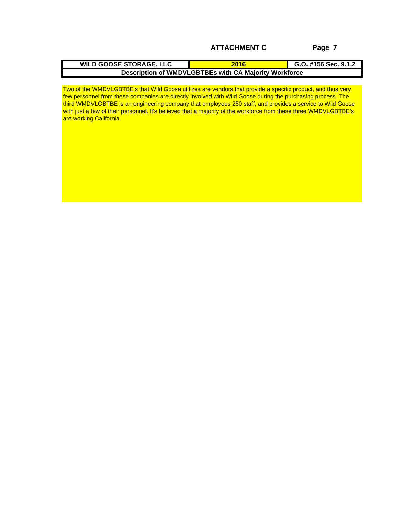Two of the WMDVLGBTBE's that Wild Goose utilizes are vendors that provide a specific product, and thus very few personnel from these companies are directly involved with Wild Goose during the purchasing process. The third WMDVLGBTBE is an engineering company that employees 250 staff, and provides a service to Wild Goose with just a few of their personnel. It's believed that a majority of the workforce from these three WMDVLGBTBE's are working California.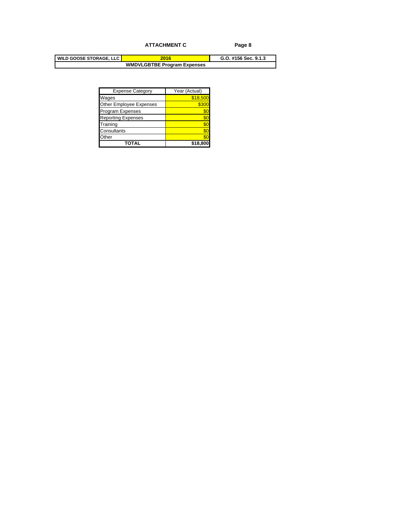| <b>Expense Category</b>          | Year (Actual) |
|----------------------------------|---------------|
|                                  | 18,5          |
| Wages<br>Other Employee Expenses |               |
| Program Expenses                 |               |
| Reporting Expenses               |               |
| Training                         |               |
| Consultants                      |               |
| Other                            |               |
| <b>TOTAL</b>                     | \$18,800      |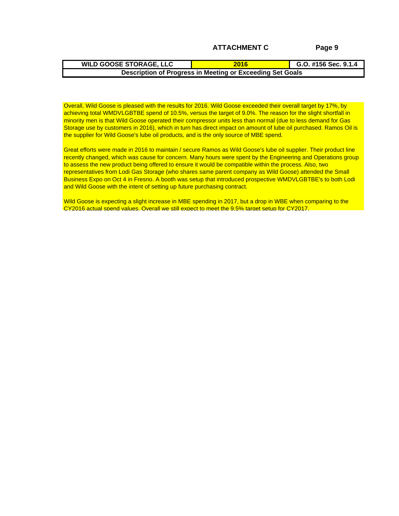Overall, Wild Goose is pleased with the results for 2016. Wild Goose exceeded their overall target by 17%, by achieving total WMDVLGBTBE spend of 10.5%, versus the target of 9.0%. The reason for the slight shortfall in minority men is that Wild Goose operated their compressor units less than normal (due to less demand for Gas Storage use by customers in 2016), which in turn has direct impact on amount of lube oil purchased. Ramos Oil is the supplier for Wild Goose's lube oil products, and is the only source of MBE spend.

Great efforts were made in 2016 to maintain / secure Ramos as Wild Goose's lube oil supplier. Their product line recently changed, which was cause for concern. Many hours were spent by the Engineering and Operations group to assess the new product being offered to ensure it would be compatible within the process. Also, two representatives from Lodi Gas Storage (who shares same parent company as Wild Goose) attended the Small Business Expo on Oct 4 in Fresno. A booth was setup that introduced prospective WMDVLGBTBE's to both Lodi and Wild Goose with the intent of setting up future purchasing contract.

Wild Goose is expecting a slight increase in MBE spending in 2017, but a drop in WBE when comparing to the CY2016 actual spend values. Overall we still expect to meet the 9.5% target setup for CY2017.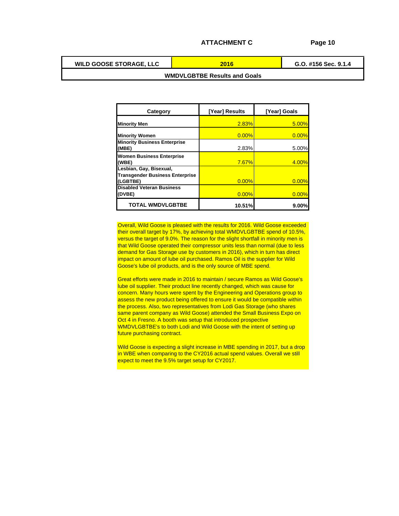```
WILD GOOSE STORAGE, LLC
```
**G.O. #156 Sec. 9.1.4 2016**

## **WMDVLGBTBE Results and Goals**

|                                                       | [Year] Results | [Year] Goals |
|-------------------------------------------------------|----------------|--------------|
| Category                                              |                |              |
| <b>Minority Men</b>                                   |                |              |
|                                                       |                |              |
| <b>Minority Women</b><br>Minority Business Enterprise |                |              |
| (MBE)                                                 | 2.83%          | 5.00         |
| <b>Women Business Enterprise</b>                      |                |              |
| (WBE)<br>Lesbian, Gay, Bisexual,                      |                |              |
| Transgender Business Enterprise                       |                |              |
|                                                       |                |              |
| (LGBTBE)<br>Disabled Veteran Business                 |                |              |
| (DVBE)                                                |                |              |
| <b>TOTAL WMDVLGBTBE</b>                               | 10.51%         | $9.00\%$     |

Overall, Wild Goose is pleased with the results for 2016. Wild Goose exceeded their overall target by 17%, by achieving total WMDVLGBTBE spend of 10.5%, versus the target of 9.0%. The reason for the slight shortfall in minority men is that Wild Goose operated their compressor units less than normal (due to less demand for Gas Storage use by customers in 2016), which in turn has direct impact on amount of lube oil purchased. Ramos Oil is the supplier for Wild Goose's lube oil products, and is the only source of MBE spend.

Great efforts were made in 2016 to maintain / secure Ramos as Wild Goose's lube oil supplier. Their product line recently changed, which was cause for concern. Many hours were spent by the Engineering and Operations group to assess the new product being offered to ensure it would be compatible within the process. Also, two representatives from Lodi Gas Storage (who shares same parent company as Wild Goose) attended the Small Business Expo on Oct 4 in Fresno. A booth was setup that introduced prospective WMDVLGBTBE's to both Lodi and Wild Goose with the intent of setting up future purchasing contract.

Wild Goose is expecting a slight increase in MBE spending in 2017, but a drop in WBE when comparing to the CY2016 actual spend values. Overall we still expect to meet the 9.5% target setup for CY2017.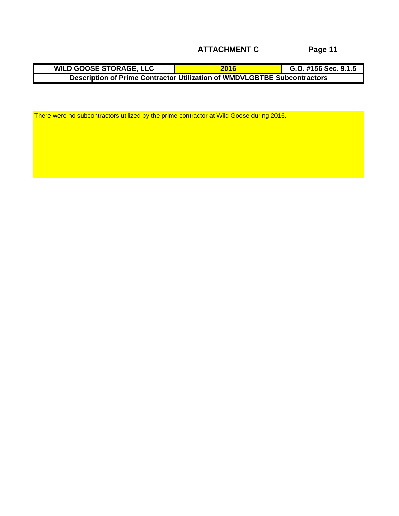| ີ OOSE STORAGE. LLC                                                      | $- - -$                                    | $-456$ Sec. Q.1. |
|--------------------------------------------------------------------------|--------------------------------------------|------------------|
| 87H L                                                                    |                                            | H130356.3.1.3    |
| . ume Contractor U <sup>en</sup><br>A AL Drin<br>—⇔scriprion f<br>- FIII | T Utilization of WMDVLGBTBE Subcontractors |                  |

There were no subcontractors utilized by the prime contractor at Wild Goose during 2016.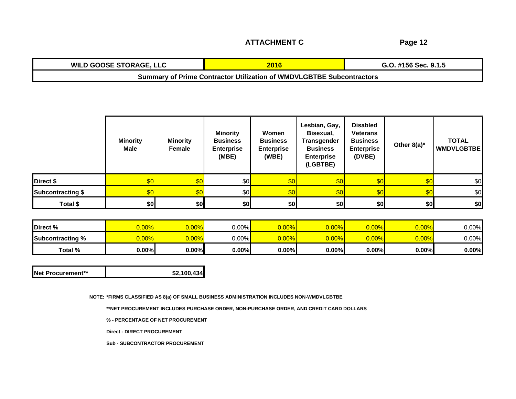**ATTACHMENT C**

| <b>WILD GOOSE STORAGE, LLC</b> |                                                                      | .O. #156 Sec. 9.1.5 |
|--------------------------------|----------------------------------------------------------------------|---------------------|
|                                | Jummary of Prime Contractor Utilization of WMDVLGBTBE Subcontractors |                     |

|                   | <b>Minority</b><br>Male | <b>Minority</b><br>Female | <b>Minority</b><br>Business<br>Enterprise<br>(MBE) | Women<br><b>Business</b><br>Enterprise<br>(WBE) | Lesbian, Gay, Disabled<br>Bisexual,<br><b>Transgender</b><br>Business<br><b>Enterprise</b><br>(LGBTBE) | Veterans<br><b>Business</b><br><b>Enterprise</b><br>(DVBE) | Other $8(a)^*$ | <b>TOTAL</b><br><b>WMDVLGBTBE</b> |  |
|-------------------|-------------------------|---------------------------|----------------------------------------------------|-------------------------------------------------|--------------------------------------------------------------------------------------------------------|------------------------------------------------------------|----------------|-----------------------------------|--|
| Direct \$         |                         |                           |                                                    |                                                 |                                                                                                        |                                                            |                |                                   |  |
| Subcontracting \$ |                         |                           |                                                    |                                                 |                                                                                                        |                                                            |                |                                   |  |
| Total \$          |                         |                           |                                                    |                                                 |                                                                                                        |                                                            |                |                                   |  |

| Subcontracting % 10.00% 10.00% 10.00% 10.00% 10.00% |  |  |  |  |  |
|-----------------------------------------------------|--|--|--|--|--|
|                                                     |  |  |  |  |  |

| $^{\ast}$ ?,100,434 |
|---------------------|

**NOTE: \*FIRMS CLASSIFIED AS 8(a) OF SMALL BUSINESS ADMINISTRATION INCLUDES NON-WMDVLGBTBE**

**\*\*NET PROCUREMENT INCLUDES PURCHASE ORDER, NON-PURCHASE ORDER, AND CREDIT CARD DOLLARS**

**% - PERCENTAGE OF NET PROCUREMENT**

**Direct - DIRECT PROCUREMENT**

**Sub - SUBCONTRACTOR PROCUREMENT**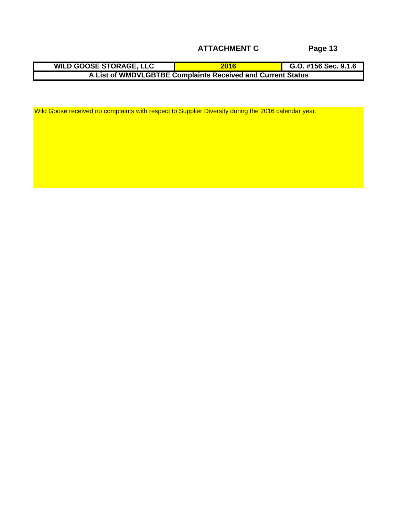**2016 G.O. #156 Sec. 9.1.6 WILD GOOSE STORAGE, LLC A List of WMDVLGBTBE Complaints Received and Current Status**

Wild Goose received no complaints with respect to Supplier Diversity during the 2016 calendar year.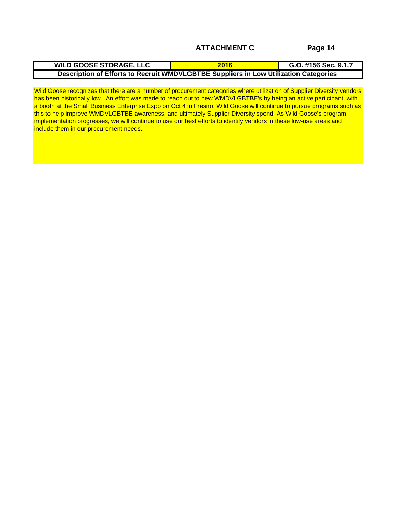| <b>WILD GOOSE STORAGE, LLC</b>                                                              | G.O. #156 Sec. 9.1.                                                                               |
|---------------------------------------------------------------------------------------------|---------------------------------------------------------------------------------------------------|
| s to Recruit WMDVLGBTBE Sup<br>$\sim$ of Efforto .<br>ווטוו טו בווטונג נט גפטו<br>ш<br>---- | uppliere in Lew Hilization Categoriae.<br>on calegorie.<br><b>LIBE SUPPLIERS IN LOW OUTBEAND!</b> |

Wild Goose recognizes that there are a number of procurement categories where utilization of Supplier Diversity vendors has been historically low. An effort was made to reach out to new WMDVLGBTBE's by being an active participant, with a booth at the Small Business Enterprise Expo on Oct 4 in Fresno. Wild Goose will continue to pursue programs such as this to help improve WMDVLGBTBE awareness, and ultimately Supplier Diversity spend. As Wild Goose's program implementation progresses, we will continue to use our best efforts to identify vendors in these low-use areas and include them in our procurement needs.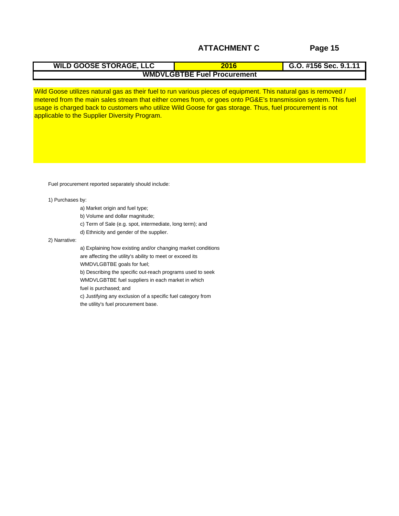Wild Goose utilizes natural gas as their fuel to run various pieces of equipment. This natural gas is removed / metered from the main sales stream that either comes from, or goes onto PG&E's transmission system. This fuel usage is charged back to customers who utilize Wild Goose for gas storage. Thus, fuel procurement is not applicable to the Supplier Diversity Program.

Fuel procurement reported separately should include:

1) Purchases by:

- a) Market origin and fuel type;
- b) Volume and dollar magnitude;
- c) Term of Sale (e.g. spot, intermediate, long term); and
- d) Ethnicity and gender of the supplier.

2) Narrative:

a) Explaining how existing and/or changing market conditions are affecting the utility's ability to meet or exceed its WMDVLGBTBE goals for fuel;

b) Describing the specific out-reach programs used to seek WMDVLGBTBE fuel suppliers in each market in which

fuel is purchased; and

c) Justifying any exclusion of a specific fuel category from the utility's fuel procurement base.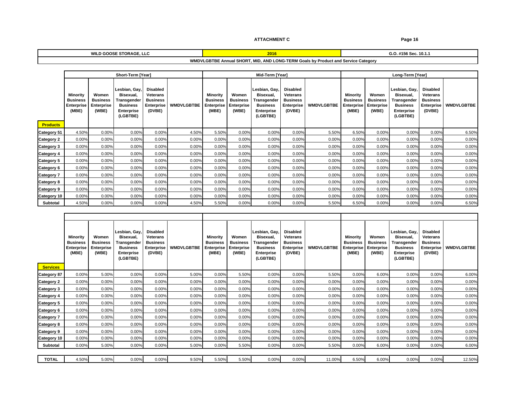$\overline{\phantom{a}}$ 

#### **WILD GOOSE STORAGE, LLC 2016 G.O. #156 Sec. 10.1.1**

# **WMDVLGBTBE Annual SHORT, MID, AND LONG-TERM Goals by Product and Service Category**

|                 |                                                                             |                                       | Short-Term [Year]      |                              |                             | Mid-Term [Year]<br>————————————————————                    |                                            |            |                                                                |           | Long-Term [Tear]        |                                                                                                |
|-----------------|-----------------------------------------------------------------------------|---------------------------------------|------------------------|------------------------------|-----------------------------|------------------------------------------------------------|--------------------------------------------|------------|----------------------------------------------------------------|-----------|-------------------------|------------------------------------------------------------------------------------------------|
|                 |                                                                             |                                       |                        |                              |                             |                                                            |                                            |            |                                                                |           |                         |                                                                                                |
|                 |                                                                             |                                       | Lesbian, Gay, Disabled |                              |                             |                                                            | Lesbian, Gay, Disabled                     |            |                                                                |           | Lesbian, Gay, Disabled  |                                                                                                |
|                 | Minority Women Bisexual, Veterans<br>Business Business Transgender Business | Bisexual,                             |                        |                              | Minority<br><b>Business</b> | Women                                                      | Bisexual, Veterans<br>Transgender Business |            | Minority Women<br>Business   Business   Transgender   Business | Bisexual, | Veterans                |                                                                                                |
|                 |                                                                             | <b>Business</b>                       |                        | <b>Enterprise WMDVLGBTBE</b> |                             |                                                            |                                            | Enterprise |                                                                |           |                         |                                                                                                |
|                 | Enterprise Enterprise<br>(MBE) (WBE)                                        | Enterprise<br>(LGBTBE)                | (DVBE)                 |                              |                             | E Enterprise Enterprise Business<br>(MBE) (WBE) Enterprise | Enterprise<br>(LGBTBE)                     | (DVBE)     |                                                                |           |                         | Enterprise Enterprise Business Enterprise WMDVLGBTBE<br>(MBE) (WBE) Enterprise (DVBE) (LGBTBE) |
|                 |                                                                             |                                       |                        |                              |                             |                                                            |                                            |            |                                                                |           |                         |                                                                                                |
| <b>Products</b> |                                                                             |                                       |                        |                              |                             |                                                            |                                            |            |                                                                |           |                         |                                                                                                |
|                 |                                                                             |                                       |                        |                              |                             |                                                            |                                            |            |                                                                |           |                         |                                                                                                |
|                 | Category 51 4.50% 0.00%                                                     |                                       |                        |                              |                             |                                                            |                                            |            | 0.0076                                                         | 0.0070    | 0.0070<br>0.0070        |                                                                                                |
|                 |                                                                             |                                       |                        |                              |                             |                                                            |                                            |            |                                                                |           |                         |                                                                                                |
|                 | $\frac{12 \text{degory 2}}{12 \text{degory 3}}$                             |                                       |                        |                              |                             |                                                            |                                            |            |                                                                |           |                         |                                                                                                |
|                 | <b>Category 4</b> 0.00% 0.00                                                |                                       |                        |                              |                             |                                                            |                                            |            |                                                                |           |                         |                                                                                                |
| Pategory 5 0.00 |                                                                             |                                       |                        |                              |                             |                                                            |                                            |            |                                                                |           |                         |                                                                                                |
|                 | Category 6 0.00% 0.00%                                                      |                                       |                        |                              |                             |                                                            |                                            |            |                                                                |           |                         |                                                                                                |
|                 | Category 7 $0.00\%$ $0.00\%$                                                |                                       |                        |                              |                             |                                                            |                                            |            |                                                                |           |                         |                                                                                                |
|                 |                                                                             |                                       |                        |                              |                             |                                                            |                                            |            |                                                                |           |                         |                                                                                                |
|                 | ategory 8 0.00% 0.00%                                                       |                                       |                        |                              |                             |                                                            |                                            |            |                                                                |           |                         |                                                                                                |
|                 | Category 9 0.00% 0.00%                                                      |                                       |                        |                              |                             |                                                            |                                            |            | $        -$                                                    |           | $\frac{0.8876}{0.8876}$ |                                                                                                |
|                 | $\frac{\text{sgory 10}}{\text{Subtotal}}$ 0.00% 0.00%                       | and the control of the control of the |                        |                              |                             |                                                            |                                            |            |                                                                |           |                         |                                                                                                |
|                 |                                                                             |                                       |                        | በ በበ%                        |                             |                                                            |                                            |            | 6.500                                                          | $0.00\%$  | 0.005                   |                                                                                                |

| Minority                 | Women           | Lesbian, Gay,   Disabled<br>Bisexual,                    | <b>Veterans</b>              |                               | Minority Women                                           | Lesbian, Gay, Disabled<br>Bisexual, | <b>Veterans</b>   |                                                                                             | <b>Minority</b> Women    |          | Lesbian, Gay, Disabled<br>Bisexual, Veterans        |  |
|--------------------------|-----------------|----------------------------------------------------------|------------------------------|-------------------------------|----------------------------------------------------------|-------------------------------------|-------------------|---------------------------------------------------------------------------------------------|--------------------------|----------|-----------------------------------------------------|--|
|                          | <b>Business</b> | <b>Business Transgender</b>                              | Business                     | <b>Business</b>               | <b>Business</b>                                          | J Transgender   Business            |                   |                                                                                             |                          |          | Transgender   Business                              |  |
|                          |                 | Enterprise Enterprise Business<br>(MBE) (WBE) Enterprise | <b>Enterprise WMDVLGBTBE</b> |                               | Enterprise Enterprise Business<br>(MBE) (WBE) Enterprise |                                     | <b>Enterprise</b> | Enterprise Business Transgender<br>Enterprise Enterprise Business<br>(MBE) (WBE) Enterprise |                          |          | Business Enterprise WMDVLGBTBE<br>Enterprise (DVBE) |  |
|                          |                 | (LGBTBE                                                  | (DVBE)                       |                               |                                                          | (LGBTBE)                            | (DVBE)            |                                                                                             |                          | (LGBTBE) |                                                     |  |
|                          |                 |                                                          |                              |                               |                                                          |                                     |                   |                                                                                             |                          |          |                                                     |  |
| <b>Services</b>          |                 |                                                          |                              |                               |                                                          |                                     |                   |                                                                                             |                          |          |                                                     |  |
| $2 \text{ategy } 87$ 0.0 |                 |                                                          |                              |                               |                                                          |                                     |                   |                                                                                             |                          |          |                                                     |  |
| Category 2 0.00%         |                 |                                                          |                              |                               |                                                          |                                     |                   |                                                                                             |                          |          |                                                     |  |
| Category 3 0.00%         |                 |                                                          |                              |                               |                                                          |                                     |                   |                                                                                             |                          |          |                                                     |  |
| Category 4 0.00          |                 |                                                          |                              |                               |                                                          |                                     |                   |                                                                                             |                          |          |                                                     |  |
| ategory 5 0.0            |                 |                                                          |                              |                               |                                                          |                                     |                   |                                                                                             |                          |          |                                                     |  |
| Category 6 0.00%         |                 |                                                          |                              |                               |                                                          |                                     |                   |                                                                                             |                          |          | $\overline{\phantom{a}}$                            |  |
|                          |                 |                                                          |                              | $\sim$                        |                                                          |                                     |                   |                                                                                             | $\overline{\phantom{a}}$ |          | $\overline{\phantom{a}}$                            |  |
| Category 7 0.0L          |                 |                                                          |                              |                               |                                                          |                                     |                   |                                                                                             |                          |          |                                                     |  |
| Category 8 0.            |                 |                                                          |                              | the control of the control of |                                                          |                                     |                   |                                                                                             |                          |          |                                                     |  |
| Pategory 9 0.            |                 |                                                          |                              |                               |                                                          |                                     |                   |                                                                                             |                          |          |                                                     |  |
| rategory 10              |                 |                                                          |                              |                               |                                                          |                                     |                   |                                                                                             |                          |          | $\sim$ $\sim$                                       |  |
| Subtotal                 | $0.00\%$        |                                                          |                              |                               |                                                          | 0.000                               |                   |                                                                                             | $\sim$ 00                |          |                                                     |  |
|                          |                 |                                                          |                              |                               |                                                          |                                     |                   |                                                                                             |                          |          |                                                     |  |
| <b>TOTAL</b> 4.50%       |                 |                                                          |                              |                               |                                                          |                                     |                   |                                                                                             |                          |          |                                                     |  |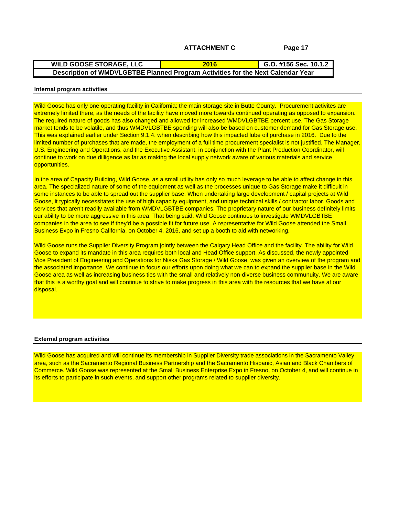#### **G.O. #156 Sec. 10.1.2 WILD GOOSE STORAGE, LLC Description of WMDVLGBTBE Planned Program Activities for the Next Calendar Year 2016**

#### **Internal program activities**

Wild Goose has only one operating facility in California; the main storage site in Butte County. Procurement activites are extremely limited there, as the needs of the facility have moved more towards continued operating as opposed to expansion. The required nature of goods has also changed and allowed for increased WMDVLGBTBE percent use. The Gas Storage market tends to be volatile, and thus WMDVLGBTBE spending will also be based on customer demand for Gas Storage use. This was explained earlier under Section 9.1.4. when describing how this impacted lube oil purchase in 2016. Due to the limited number of purchases that are made, the employment of a full time procurement specialist is not justified. The Manager, U.S. Engineering and Operations, and the Executive Assistant, in conjunction with the Plant Production Coordinator, will continue to work on due dilligence as far as making the local supply network aware of various materials and service opportunities.

In the area of Capacity Building, Wild Goose, as a small utility has only so much leverage to be able to affect change in this area. The specialized nature of some of the equipment as well as the processes unique to Gas Storage make it difficult in some instances to be able to spread out the supplier base. When undertaking large development / capital projects at Wild Goose, it typically necessitates the use of high capacity equipment, and unique technical skills / contractor labor. Goods and services that aren't readily available from WMDVLGBTBE companies. The proprietary nature of our business definitely limits our ability to be more aggressive in this area. That being said, Wild Goose continues to investigate WMDVLGBTBE companies in the area to see if they'd be a possible fit for future use. A representative for Wild Goose attended the Small Business Expo in Fresno California, on October 4, 2016, and set up a booth to aid with networking.

Wild Goose runs the Supplier Diversity Program jointly between the Calgary Head Office and the facility. The ability for Wild Goose to expand its mandate in this area requires both local and Head Office support. As discussed, the newly appointed Vice President of Engineering and Operations for Niska Gas Storage / Wild Goose, was given an overview of the program and the associated importance. We continue to focus our efforts upon doing what we can to expand the supplier base in the Wild Goose area as well as increasing business ties with the small and relatively non-diverse business communuity. We are aware that this is a worthy goal and will continue to strive to make progress in this area with the resources that we have at our disposal.

### **External program activities**

Wild Goose has acquired and will continue its membership in Supplier Diversity trade associations in the Sacramento Valley area, such as the Sacramento Regional Business Partnership and the Sacramento Hispanic, Asian and Black Chambers of Commerce. Wild Goose was represented at the Small Business Enterprise Expo in Fresno, on October 4, and will continue in its efforts to participate in such events, and support other programs related to supplier diversity.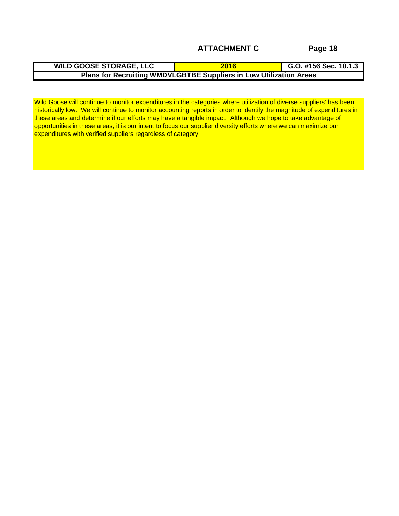Wild Goose will continue to monitor expenditures in the categories where utilization of diverse suppliers' has been historically low. We will continue to monitor accounting reports in order to identify the magnitude of expenditures in these areas and determine if our efforts may have a tangible impact. Although we hope to take advantage of opportunities in these areas, it is our intent to focus our supplier diversity efforts where we can maximize our expenditures with verified suppliers regardless of category.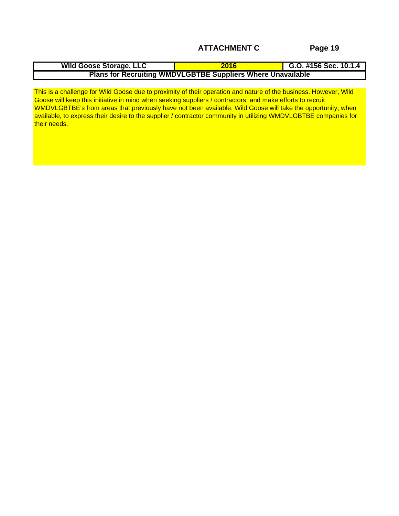| $\frac{1}{1}$<br>e Storage<br>e. LLC<br>. IIQ GOOSE |                                                                      | 10.1.4<br>ີ<br>ט.ט.<br>JU JGL. |
|-----------------------------------------------------|----------------------------------------------------------------------|--------------------------------|
| 18/11/11/1<br><b>Plans for Recruiting WMD</b>       | <b>DVLGBTBE</b><br>.<br>$\sim$ Whore $\sim$<br>---<br>$\blacksquare$ | nere Unavailable               |

This is a challenge for Wild Goose due to proximity of their operation and nature of the business. However, Wild Goose will keep this initiative in mind when seeking suppliers / contractors, and make efforts to recruit WMDVLGBTBE's from areas that previously have not been available. Wild Goose will take the opportunity, when available, to express their desire to the supplier / contractor community in utilizing WMDVLGBTBE companies for their needs. The control of the control of the control of the control of the control of the control of the control of the control of the control of the control of the control of the control of the control of the control of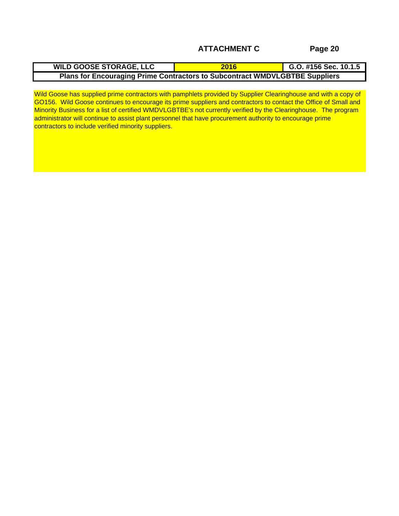| <b>WILD GOOSE STORAGE, LLC</b> | $\degree$ #156 Sec. 10.1.5      |
|--------------------------------|---------------------------------|
| <b>Plans for Encouraging</b>   | TINULGBTBE Suppliers            |
| n Drim.                        | ◦Contractors to Subcontract WMD |

Wild Goose has supplied prime contractors with pamphlets provided by Supplier Clearinghouse and with a copy of GO156. Wild Goose continues to encourage its prime suppliers and contractors to contact the Office of Small and Minority Business for a list of certified WMDVLGBTBE's not currently verified by the Clearinghouse. The program administrator will continue to assist plant personnel that have procurement authority to encourage prime contractors to include verified minority suppliers.